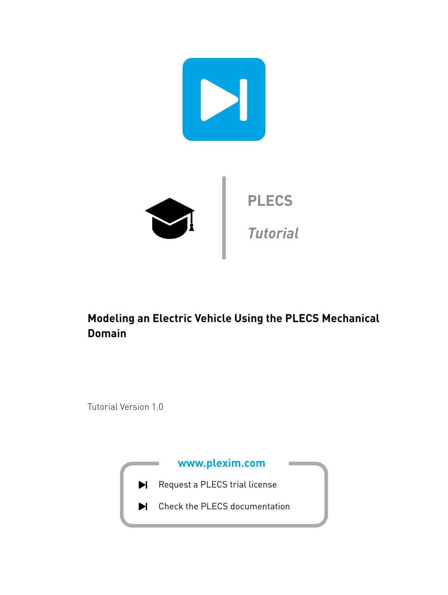

# **Modeling an Electric Vehicle Using the PLECS Mechanical Domain**

Tutorial Version 1.0

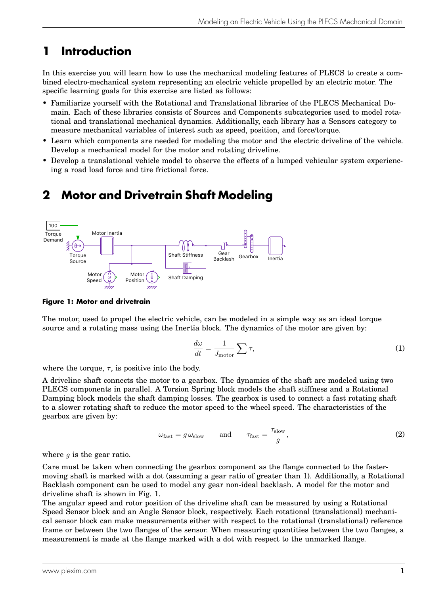# **1 Introduction**

In this exercise you will learn how to use the mechanical modeling features of PLECS to create a combined electro-mechanical system representing an electric vehicle propelled by an electric motor. The specific learning goals for this exercise are listed as follows:

- Familiarize yourself with the Rotational and Translational libraries of the PLECS Mechanical Domain. Each of these libraries consists of Sources and Components subcategories used to model rotational and translational mechanical dynamics. Additionally, each library has a Sensors category to measure mechanical variables of interest such as speed, position, and force/torque.
- Learn which components are needed for modeling the motor and the electric driveline of the vehicle. Develop a mechanical model for the motor and rotating driveline.
- Develop a translational vehicle model to observe the effects of a lumped vehicular system experiencing a road load force and tire frictional force.

# **2 Motor and Drivetrain Shaft Modeling**

<span id="page-1-0"></span>

#### **Figure 1: Motor and drivetrain**

The motor, used to propel the electric vehicle, can be modeled in a simple way as an ideal torque source and a rotating mass using the Inertia block. The dynamics of the motor are given by:

$$
\frac{d\omega}{dt} = \frac{1}{J_{\text{motor}}} \sum \tau,
$$
\n(1)

where the torque,  $\tau$ , is positive into the body.

A driveline shaft connects the motor to a gearbox. The dynamics of the shaft are modeled using two PLECS components in parallel. A Torsion Spring block models the shaft stiffness and a Rotational Damping block models the shaft damping losses. The gearbox is used to connect a fast rotating shaft to a slower rotating shaft to reduce the motor speed to the wheel speed. The characteristics of the gearbox are given by:

$$
\omega_{\text{fast}} = g \,\omega_{\text{slow}} \qquad \text{and} \qquad \tau_{\text{fast}} = \frac{\tau_{\text{slow}}}{g}, \tag{2}
$$

where  $g$  is the gear ratio.

Care must be taken when connecting the gearbox component as the flange connected to the fastermoving shaft is marked with a dot (assuming a gear ratio of greater than 1). Additionally, a Rotational Backlash component can be used to model any gear non-ideal backlash. A model for the motor and driveline shaft is shown in Fig. [1.](#page-1-0)

The angular speed and rotor position of the driveline shaft can be measured by using a Rotational Speed Sensor block and an Angle Sensor block, respectively. Each rotational (translational) mechanical sensor block can make measurements either with respect to the rotational (translational) reference frame or between the two flanges of the sensor. When measuring quantities between the two flanges, a measurement is made at the flange marked with a dot with respect to the unmarked flange.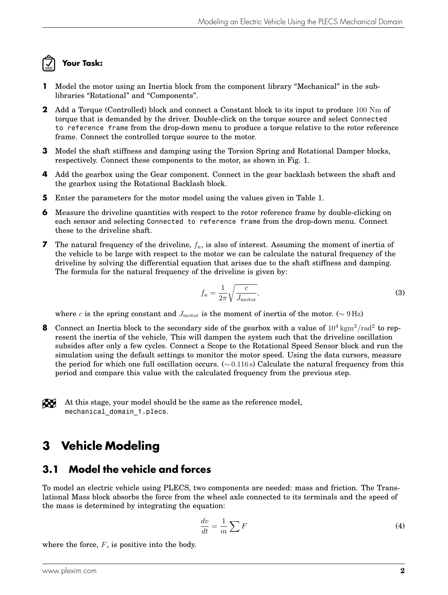# **Your Task:**

- **1** Model the motor using an Inertia block from the component library "Mechanical" in the sublibraries "Rotational" and "Components".
- **2** Add a Torque (Controlled) block and connect a Constant block to its input to produce 100 Nm of torque that is demanded by the driver. Double-click on the torque source and select Connected to reference frame from the drop-down menu to produce a torque relative to the rotor reference frame. Connect the controlled torque source to the motor.
- **3** Model the shaft stiffness and damping using the Torsion Spring and Rotational Damper blocks, respectively. Connect these components to the motor, as shown in Fig. [1.](#page-1-0)
- **4** Add the gearbox using the Gear component. Connect in the gear backlash between the shaft and the gearbox using the Rotational Backlash block.
- **5** Enter the parameters for the motor model using the values given in Table [1.](#page-3-0)
- **6** Measure the driveline quantities with respect to the rotor reference frame by double-clicking on each sensor and selecting Connected to reference frame from the drop-down menu. Connect these to the driveline shaft.
- **7** The natural frequency of the driveline,  $f_n$ , is also of interest. Assuming the moment of inertia of the vehicle to be large with respect to the motor we can be calculate the natural frequency of the driveline by solving the differential equation that arises due to the shaft stiffness and damping. The formula for the natural frequency of the driveline is given by:

$$
f_{\rm n} = \frac{1}{2\pi} \sqrt{\frac{c}{J_{\rm motor}}},\tag{3}
$$

where c is the spring constant and  $J_{\text{motor}}$  is the moment of inertia of the motor. ( $\sim 9 \text{ Hz}$ )

**8** Connect an Inertia block to the secondary side of the gearbox with a value of  $10^4 \text{ kgm}^2/\text{rad}^2$  to represent the inertia of the vehicle. This will dampen the system such that the driveline oscillation subsides after only a few cycles. Connect a Scope to the Rotational Speed Sensor block and run the simulation using the default settings to monitor the motor speed. Using the data cursors, measure the period for which one full oscillation occurs. (∼ 0.116 s) Calculate the natural frequency from this period and compare this value with the calculated frequency from the previous step.

Æ At this stage, your model should be the same as the reference model, mechanical domain 1.plecs.

# **3 Vehicle Modeling**

#### **3.1 Model the vehicle and forces**

To model an electric vehicle using PLECS, two components are needed: mass and friction. The Translational Mass block absorbs the force from the wheel axle connected to its terminals and the speed of the mass is determined by integrating the equation:

$$
\frac{dv}{dt} = \frac{1}{m} \sum F
$$
 (4)

where the force,  $F$ , is positive into the body.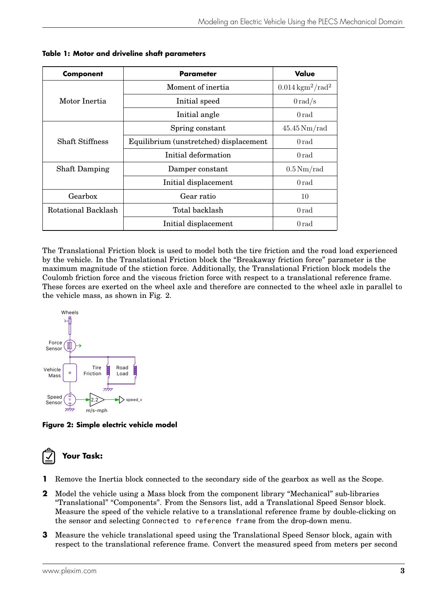| <b>Component</b>       | <b>Parameter</b>                       | Value                         |
|------------------------|----------------------------------------|-------------------------------|
| Motor Inertia          | Moment of inertia                      | $0.014\,\mathrm{kgm^2/rad^2}$ |
|                        | Initial speed                          | $0 \, \mathrm{rad/s}$         |
|                        | Initial angle                          | 0 rad                         |
| <b>Shaft Stiffness</b> | Spring constant                        | $45.45\,\mathrm{Nm/rad}$      |
|                        | Equilibrium (unstretched) displacement | 0 rad                         |
|                        | Initial deformation                    | 0 rad                         |
| <b>Shaft Damping</b>   | Damper constant                        | $0.5\,\mathrm{Nm/rad}$        |
|                        | Initial displacement                   | 0 rad                         |
| Gearbox                | Gear ratio                             | 10                            |
| Rotational Backlash    | Total backlash                         | 0 rad                         |
|                        | Initial displacement                   | 0 rad                         |

<span id="page-3-0"></span>**Table 1: Motor and driveline shaft parameters**

The Translational Friction block is used to model both the tire friction and the road load experienced by the vehicle. In the Translational Friction block the "Breakaway friction force" parameter is the maximum magnitude of the stiction force. Additionally, the Translational Friction block models the Coulomb friction force and the viscous friction force with respect to a translational reference frame. These forces are exerted on the wheel axle and therefore are connected to the wheel axle in parallel to the vehicle mass, as shown in Fig. [2.](#page-3-1)

<span id="page-3-1"></span>

**Figure 2: Simple electric vehicle model**

# **Your Task:**

- **1** Remove the Inertia block connected to the secondary side of the gearbox as well as the Scope.
- **2** Model the vehicle using a Mass block from the component library "Mechanical" sub-libraries "Translational" "Components". From the Sensors list, add a Translational Speed Sensor block. Measure the speed of the vehicle relative to a translational reference frame by double-clicking on the sensor and selecting Connected to reference frame from the drop-down menu.
- **3** Measure the vehicle translational speed using the Translational Speed Sensor block, again with respect to the translational reference frame. Convert the measured speed from meters per second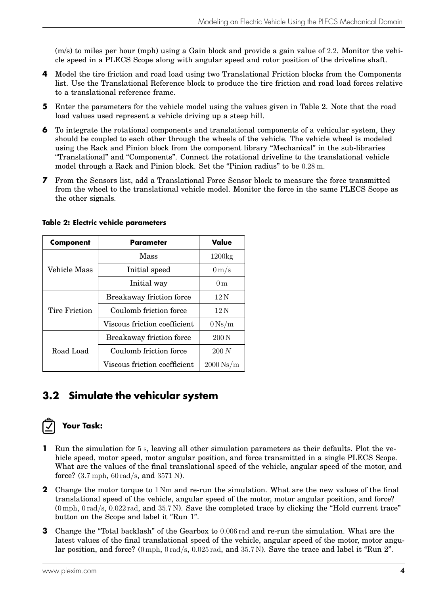(m/s) to miles per hour (mph) using a Gain block and provide a gain value of 2.2. Monitor the vehicle speed in a PLECS Scope along with angular speed and rotor position of the driveline shaft.

- **4** Model the tire friction and road load using two Translational Friction blocks from the Components list. Use the Translational Reference block to produce the tire friction and road load forces relative to a translational reference frame.
- **5** Enter the parameters for the vehicle model using the values given in Table [2.](#page-4-0) Note that the road load values used represent a vehicle driving up a steep hill.
- **6** To integrate the rotational components and translational components of a vehicular system, they should be coupled to each other through the wheels of the vehicle. The vehicle wheel is modeled using the Rack and Pinion block from the component library "Mechanical" in the sub-libraries "Translational" and "Components". Connect the rotational driveline to the translational vehicle model through a Rack and Pinion block. Set the "Pinion radius" to be 0.28 m.
- **7** From the Sensors list, add a Translational Force Sensor block to measure the force transmitted from the wheel to the translational vehicle model. Monitor the force in the same PLECS Scope as the other signals.

| <b>Component</b> | Parameter                    | Value                 |
|------------------|------------------------------|-----------------------|
| Vehicle Mass     | Mass                         | $1200\text{kg}$       |
|                  | Initial speed                | $0 \,\mathrm{m/s}$    |
|                  | Initial way                  | 0 <sub>m</sub>        |
| Tire Friction    | Breakaway friction force     | $12\,\mathrm{N}$      |
|                  | Coulomb friction force       | 12N                   |
|                  | Viscous friction coefficient | $0\,\mathrm{Ns/m}$    |
| Road Load        | Breakaway friction force     | $200\,\mathrm{N}$     |
|                  | Coulomb friction force       | 200 N                 |
|                  | Viscous friction coefficient | $2000\,\mathrm{Ns/m}$ |

#### <span id="page-4-0"></span>**Table 2: Electric vehicle parameters**

#### **3.2 Simulate the vehicular system**



#### **Your Task:**

- **1** Run the simulation for 5 s, leaving all other simulation parameters as their defaults. Plot the vehicle speed, motor speed, motor angular position, and force transmitted in a single PLECS Scope. What are the values of the final translational speed of the vehicle, angular speed of the motor, and force? (3.7 mph, 60 rad/s, and 3571 N).
- **2** Change the motor torque to 1 Nm and re-run the simulation. What are the new values of the final translational speed of the vehicle, angular speed of the motor, motor angular position, and force? (0 mph, 0 rad/s, 0.022 rad, and 35.7 N). Save the completed trace by clicking the "Hold current trace" button on the Scope and label it "Run 1".
- **3** Change the "Total backlash" of the Gearbox to 0.006 rad and re-run the simulation. What are the latest values of the final translational speed of the vehicle, angular speed of the motor, motor angular position, and force? (0 mph, 0 rad/s, 0.025 rad, and 35.7 N). Save the trace and label it "Run 2".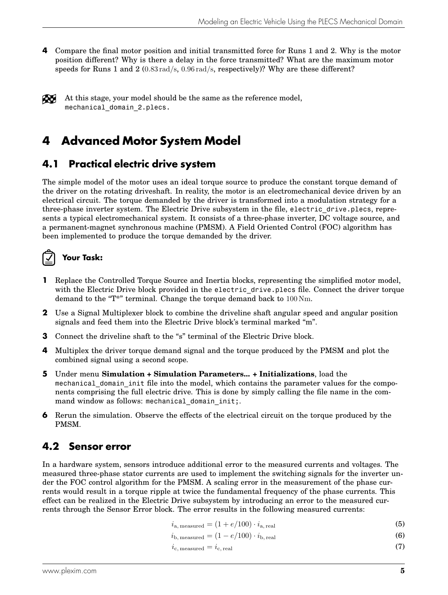**4** Compare the final motor position and initial transmitted force for Runs 1 and 2. Why is the motor position different? Why is there a delay in the force transmitted? What are the maximum motor speeds for Runs 1 and 2 (0.83  $rad/s$ , 0.96  $rad/s$ , respectively)? Why are these different?

At this stage, your model should be the same as the reference model, mechanical domain 2.plecs.

# **4 Advanced Motor System Model**

#### **4.1 Practical electric drive system**

The simple model of the motor uses an ideal torque source to produce the constant torque demand of the driver on the rotating driveshaft. In reality, the motor is an electromechanical device driven by an electrical circuit. The torque demanded by the driver is transformed into a modulation strategy for a three-phase inverter system. The Electric Drive subsystem in the file, electric\_drive.plecs, represents a typical electromechanical system. It consists of a three-phase inverter, DC voltage source, and a permanent-magnet synchronous machine (PMSM). A Field Oriented Control (FOC) algorithm has been implemented to produce the torque demanded by the driver.

# **Your Task:**

- **1** Replace the Controlled Torque Source and Inertia blocks, representing the simplified motor model, with the Electric Drive block provided in the electric drive.plecs file. Connect the driver torque demand to the "T\*" terminal. Change the torque demand back to 100 Nm.
- **2** Use a Signal Multiplexer block to combine the driveline shaft angular speed and angular position signals and feed them into the Electric Drive block's terminal marked "m".
- **3** Connect the driveline shaft to the "s" terminal of the Electric Drive block.
- **4** Multiplex the driver torque demand signal and the torque produced by the PMSM and plot the combined signal using a second scope.
- **5** Under menu **Simulation + Simulation Parameters... + Initializations**, load the mechanical domain init file into the model, which contains the parameter values for the components comprising the full electric drive. This is done by simply calling the file name in the command window as follows: mechanical domain init;.
- **6** Rerun the simulation. Observe the effects of the electrical circuit on the torque produced by the PMSM.

### **4.2 Sensor error**

In a hardware system, sensors introduce additional error to the measured currents and voltages. The measured three-phase stator currents are used to implement the switching signals for the inverter under the FOC control algorithm for the PMSM. A scaling error in the measurement of the phase currents would result in a torque ripple at twice the fundamental frequency of the phase currents. This effect can be realized in the Electric Drive subsystem by introducing an error to the measured currents through the Sensor Error block. The error results in the following measured currents:

 $i_{\text{a. measured}} = (1 + e/100) \cdot i_{\text{a. real}}$  (5)

$$
i_{\text{b, measured}} = (1 - e/100) \cdot i_{\text{b, real}} \tag{6}
$$

$$
i_{\rm c, measured} = i_{\rm c, real} \tag{7}
$$

Æ